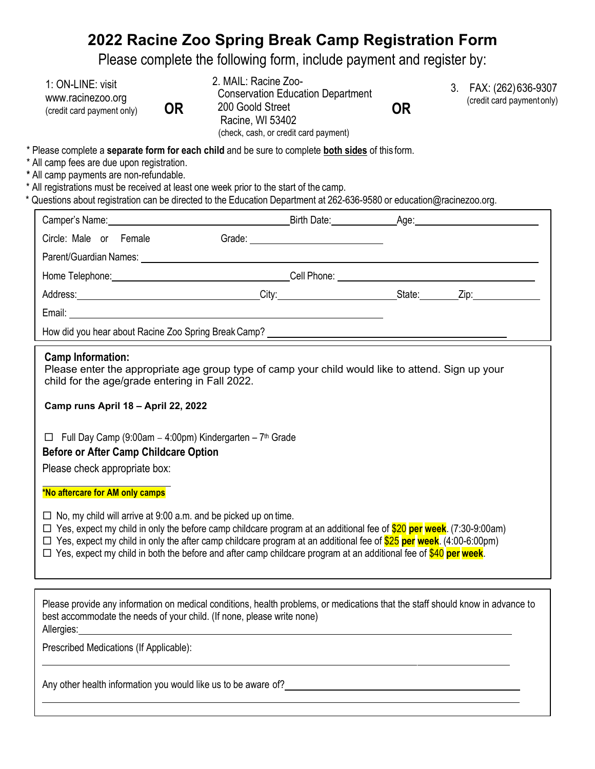# **2022 Racine Zoo Spring Break Camp Registration Form**

Please complete the following form, include payment and register by:

| 1: ON-LINE: visit          |
|----------------------------|
| www.racinezoo.org          |
| (credit card payment only) |

| 1: ON-LINE: visit<br>www.racinezoo.org<br>(credit card payment only) | 0R | 2. MAIL: Racine Zoo-<br><b>Conservation Education Department</b><br>200 Goold Street<br>Racine, WI 53402 | OR |
|----------------------------------------------------------------------|----|----------------------------------------------------------------------------------------------------------|----|
|                                                                      |    | (check, cash, or credit card payment)                                                                    |    |

- 3. FAX: (262) 636-9307 **OR** (credit card payment only)
- \* Please complete a **separate form for each child** and be sure to complete **both sides** of this form.
- \* All camp fees are due upon registration.
- **\*** All camp payments are non-refundable.
- \* All registrations must be received at least one week prior to the start of the camp.
- \* Questions about registration can be directed to the Education Department at 262-636-9580 or [education@racinezoo.org.](mailto:education@racinezoo.org)

| Camper's Name: 1997                                                                                                                                                                                                                  |  |  |  |                         |  |
|--------------------------------------------------------------------------------------------------------------------------------------------------------------------------------------------------------------------------------------|--|--|--|-------------------------|--|
| Circle: Male or Female                                                                                                                                                                                                               |  |  |  |                         |  |
|                                                                                                                                                                                                                                      |  |  |  |                         |  |
| Home Telephone: <u>contract and the set of the set of the set of the set of the set of the set of the set of the set of the set of the set of the set of the set of the set of the set of the set of the set of the set of the s</u> |  |  |  |                         |  |
| Address: City: City:                                                                                                                                                                                                                 |  |  |  | State: <u>Zip: Zip:</u> |  |
| Email: <u>_______________________________</u>                                                                                                                                                                                        |  |  |  |                         |  |
|                                                                                                                                                                                                                                      |  |  |  |                         |  |

#### **Camp Information:**

Please enter the appropriate age group type of camp your child would like to attend. Sign up your child for the age/grade entering in Fall 2022.

**Camp runs April 18 – April 22, 2022**

 $\Box$  Full Day Camp (9:00am - 4:00pm) Kindergarten - 7<sup>th</sup> Grade

## **Before or After Camp Childcare Option**

Please check appropriate box:

### **\*No aftercare for AM only camps**

- $\Box$  No, my child will arrive at 9:00 a.m. and be picked up on time.
- Yes, expect my child in only the before camp childcare program at an additional fee of \$20 **per week**. (7:30-9:00am)
- Yes, expect my child in only the after camp childcare program at an additional fee of \$25 **per week**. (4:00-6:00pm)
- Yes, expect my child in both the before and after camp childcare program at an additional fee of \$40 **per week**.

Please provide any information on medical conditions, health problems, or medications that the staff should know in advance to best accommodate the needs of your child. (If none, please write none) Allergies:

Prescribed Medications (If Applicable):

Any other health information you would like us to be aware of?